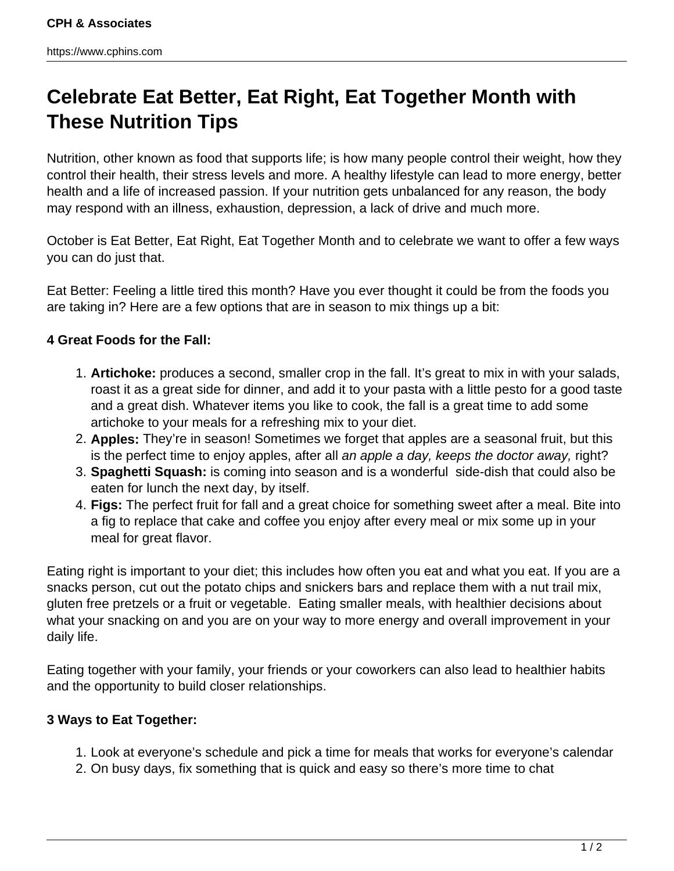## **Celebrate Eat Better, Eat Right, Eat Together Month with These Nutrition Tips**

Nutrition, other known as food that supports life; is how many people control their weight, how they control their health, their stress levels and more. A healthy lifestyle can lead to more energy, better health and a life of increased passion. If your nutrition gets unbalanced for any reason, the body may respond with an illness, exhaustion, depression, a lack of drive and much more.

October is Eat Better, Eat Right, Eat Together Month and to celebrate we want to offer a few ways you can do just that.

Eat Better: Feeling a little tired this month? Have you ever thought it could be from the foods you are taking in? Here are a few options that are in season to mix things up a bit:

## **4 Great Foods for the Fall:**

- 1. **Artichoke:** produces a second, smaller crop in the fall. It's great to mix in with your salads, roast it as a great side for dinner, and add it to your pasta with a little pesto for a good taste and a great dish. Whatever items you like to cook, the fall is a great time to add some artichoke to your meals for a refreshing mix to your diet.
- 2. **Apples:** They're in season! Sometimes we forget that apples are a seasonal fruit, but this is the perfect time to enjoy apples, after all an apple a day, keeps the doctor away, right?
- 3. **Spaghetti Squash:** is coming into season and is a wonderful side-dish that could also be eaten for lunch the next day, by itself.
- 4. **Figs:** The perfect fruit for fall and a great choice for something sweet after a meal. Bite into a fig to replace that cake and coffee you enjoy after every meal or mix some up in your meal for great flavor.

Eating right is important to your diet; this includes how often you eat and what you eat. If you are a snacks person, cut out the potato chips and snickers bars and replace them with a nut trail mix, gluten free pretzels or a fruit or vegetable. Eating smaller meals, with healthier decisions about what your snacking on and you are on your way to more energy and overall improvement in your daily life.

Eating together with your family, your friends or your coworkers can also lead to healthier habits and the opportunity to build closer relationships.

## **3 Ways to Eat Together:**

- 1. Look at everyone's schedule and pick a time for meals that works for everyone's calendar
- 2. On busy days, fix something that is quick and easy so there's more time to chat